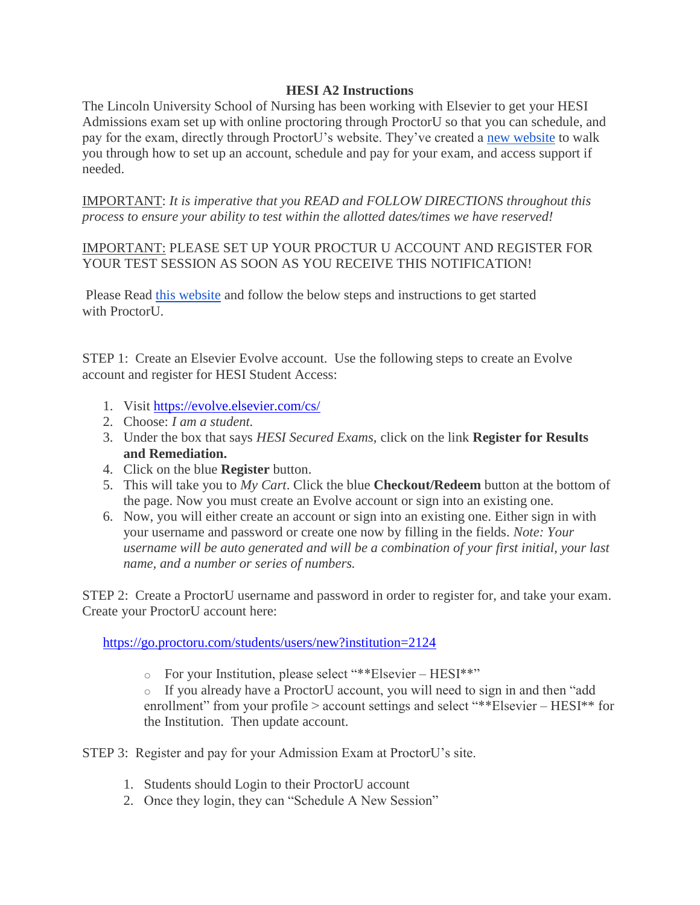## **HESI A2 Instructions**

The Lincoln University School of Nursing has been working with Elsevier to get your HESI Admissions exam set up with online proctoring through ProctorU so that you can schedule, and pay for the exam, directly through ProctorU's website. They've created a [new website](https://www.proctoru.com/portal/elsevier-hesi) to walk you through how to set up an account, schedule and pay for your exam, and access support if needed.

IMPORTANT: *It is imperative that you READ and FOLLOW DIRECTIONS throughout this process to ensure your ability to test within the allotted dates/times we have reserved!*

IMPORTANT: PLEASE SET UP YOUR PROCTUR U ACCOUNT AND REGISTER FOR YOUR TEST SESSION AS SOON AS YOU RECEIVE THIS NOTIFICATION!

Please Read [this website](https://www.proctoru.com/portal/elsevier-hesi) and follow the below steps and instructions to get started with Proctor<sup>U</sup>.

STEP 1: Create an Elsevier Evolve account. Use the following steps to create an Evolve account and register for HESI Student Access:

- 1. Visit <https://evolve.elsevier.com/cs/>
- 2. Choose: *I am a student.*
- 3. Under the box that says *HESI Secured Exams*, click on the link **Register for Results and Remediation.**
- 4. Click on the blue **Register** button.
- 5. This will take you to *My Cart*. Click the blue **Checkout/Redeem** button at the bottom of the page. Now you must create an Evolve account or sign into an existing one.
- 6. Now, you will either create an account or sign into an existing one. Either sign in with your username and password or create one now by filling in the fields. *Note: Your username will be auto generated and will be a combination of your first initial, your last name, and a number or series of numbers.*

STEP 2: Create a ProctorU username and password in order to register for, and take your exam. Create your ProctorU account here:

<https://go.proctoru.com/students/users/new?institution=2124>

o For your Institution, please select "\*\*Elsevier – HESI\*\*"

o If you already have a ProctorU account, you will need to sign in and then "add enrollment" from your profile > account settings and select "\*\*Elsevier – HESI\*\* for the Institution. Then update account.

STEP 3: Register and pay for your Admission Exam at ProctorU's site.

- 1. Students should Login to their ProctorU account
- 2. Once they login, they can "Schedule A New Session"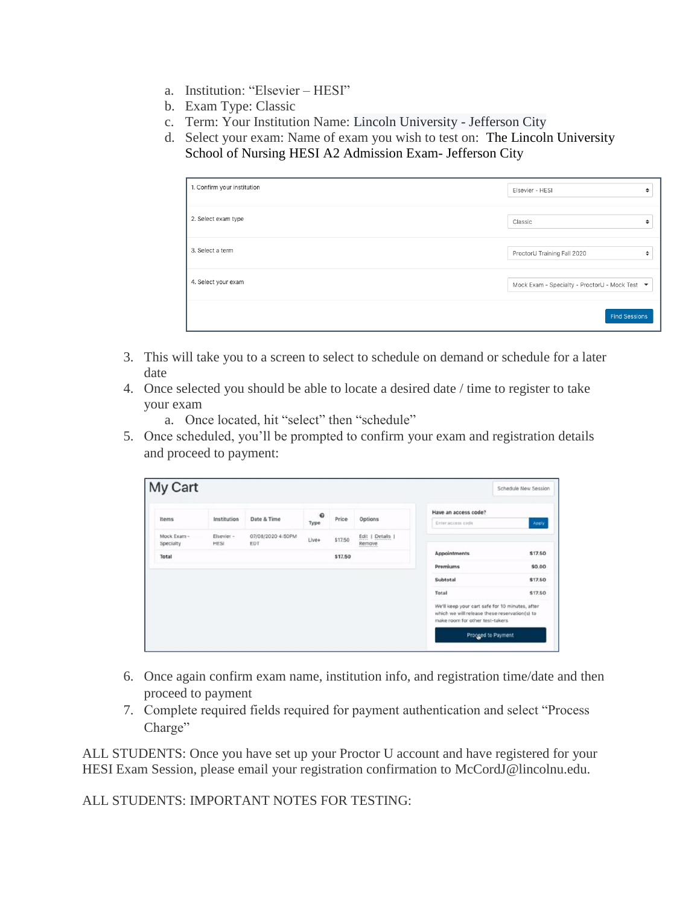- a. Institution: "Elsevier HESI"
- b. Exam Type: Classic
- c. Term: Your Institution Name: Lincoln University Jefferson City
- d. Select your exam: Name of exam you wish to test on: The Lincoln University School of Nursing HESI A2 Admission Exam- Jefferson City

| 1. Confirm your institution | Elsevier - HESI<br>٠                           |
|-----------------------------|------------------------------------------------|
| 2. Select exam type         | Classic<br>÷                                   |
| 3. Select a term            | ProctorU Training Fall 2020<br>٠               |
| 4. Select your exam         | Mock Exam - Specialty - ProctorU - Mock Test ▼ |
|                             | <b>Find Sessions</b>                           |

- 3. This will take you to a screen to select to schedule on demand or schedule for a later date
- 4. Once selected you should be able to locate a desired date / time to register to take your exam
	- a. Once located, hit "select" then "schedule"
- 5. Once scheduled, you'll be prompted to confirm your exam and registration details and proceed to payment:

| Items                    | Institution        | Date & Time              | $\Omega$<br>Type | Price   | Options                    | Have an access code?                                                                                                                 |         |  |
|--------------------------|--------------------|--------------------------|------------------|---------|----------------------------|--------------------------------------------------------------------------------------------------------------------------------------|---------|--|
|                          |                    |                          |                  |         |                            | Enter access code                                                                                                                    | Apply   |  |
| Mock Exam -<br>Specialty | Elsevier -<br>HESI | 07/08/2020 4:50PM<br>EDT | Live+            | \$17.50 | Edit   Details  <br>Remove |                                                                                                                                      |         |  |
| Total                    |                    |                          |                  | \$17.50 |                            | Appointments                                                                                                                         | \$17.50 |  |
|                          |                    |                          |                  |         |                            | <b>Premiums</b>                                                                                                                      | \$0.00  |  |
|                          |                    |                          |                  |         |                            | Subtotal                                                                                                                             | \$17.50 |  |
|                          |                    |                          |                  |         |                            | Total                                                                                                                                | \$17.50 |  |
|                          |                    |                          |                  |         |                            | We'll keep your cart safe for 10 minutes, after<br>which we will release these reservation(s) to<br>make room for other test-takers. |         |  |

- 6. Once again confirm exam name, institution info, and registration time/date and then proceed to payment
- 7. Complete required fields required for payment authentication and select "Process Charge"

ALL STUDENTS: Once you have set up your Proctor U account and have registered for your HESI Exam Session, please email your registration confirmation to McCordJ@lincolnu.edu.

ALL STUDENTS: IMPORTANT NOTES FOR TESTING: